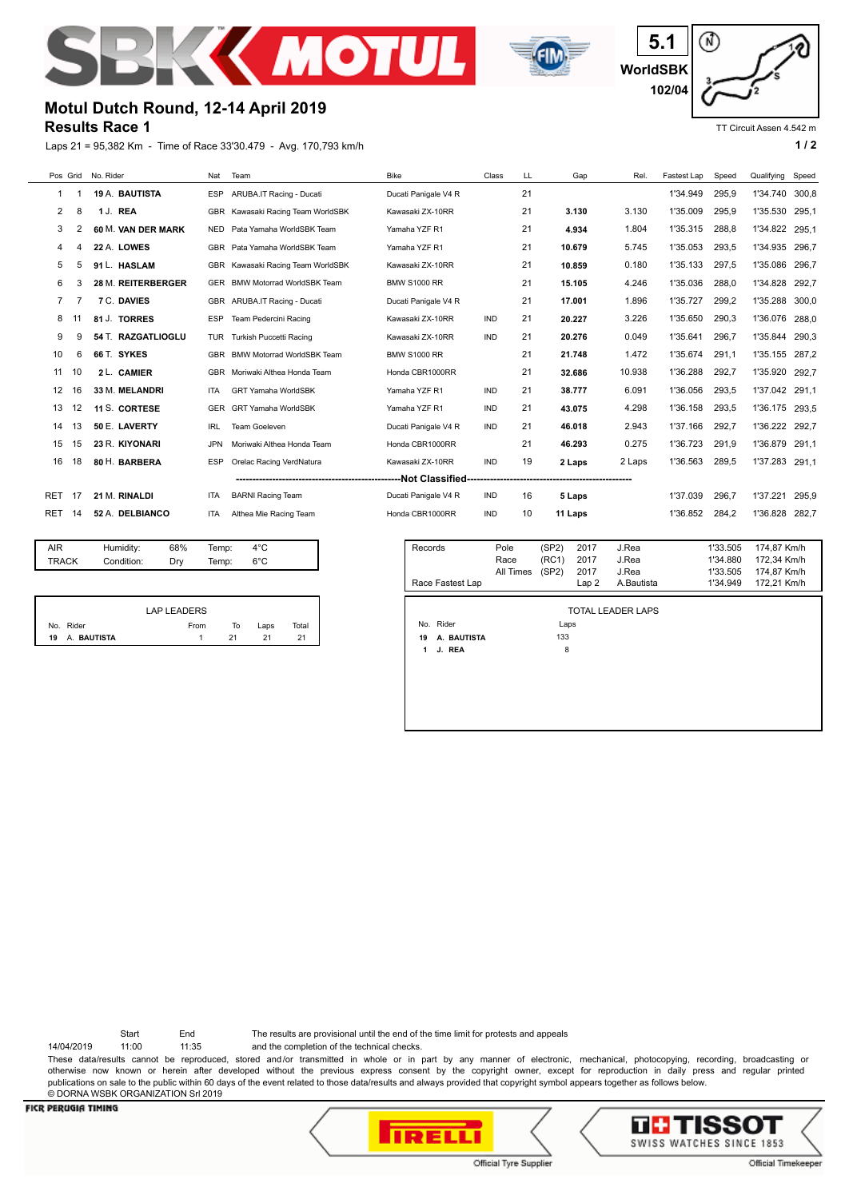



⋒ **5.1 WorldSBK 102/04**

TT Circuit Assen 4.542 m

# **Motul Dutch Round, 12-14 April 2019**

## **Results Race 1**

Laps 21 = 95,382 Km - Time of Race 33'30.479 - Avg. 170,793 km/h **1 and 2** 1 and 2

| Pos Grid No. Rider |     |                    | Nat        | Team                              | <b>Bike</b><br>Class |            | LL. | Gap                     | Rel.   | Fastest Lap | Speed    | Qualifying     | Speed |
|--------------------|-----|--------------------|------------|-----------------------------------|----------------------|------------|-----|-------------------------|--------|-------------|----------|----------------|-------|
| -1                 |     | 19 A. BAUTISTA     | <b>ESP</b> | ARUBA.IT Racing - Ducati          | Ducati Panigale V4 R |            |     |                         |        | 1'34.949    | 295,9    | 1'34.740       | 300,8 |
| 2                  | 8   | 1 J. REA           |            | GBR Kawasaki Racing Team WorldSBK | Kawasaki ZX-10RR     |            | 21  | 3.130                   | 3.130  | 1'35.009    | 295.9    | 1'35.530       | 295.1 |
| 3                  | 2   | 60 M. VAN DER MARK | <b>NED</b> | Pata Yamaha WorldSBK Team         | Yamaha YZF R1        |            | 21  | 4.934                   | 1.804  | 1'35.315    | 288.8    | 1'34.822       | 295.1 |
| 4                  | Δ   | 22 A. LOWES        | <b>GBR</b> | Pata Yamaha WorldSBK Team         | Yamaha YZF R1        |            | 21  | 10.679                  | 5.745  | 1'35.053    | 293,5    | 1'34.935       | 296.7 |
| 5                  | 5   | 91 L. HASLAM       |            | GBR Kawasaki Racing Team WorldSBK | Kawasaki ZX-10RR     |            | 21  | 10.859                  | 0.180  | 1'35.133    | 297.5    | 1'35.086       | 296.7 |
| 6                  | 3   | 28 M. REITERBERGER | <b>GER</b> | <b>BMW Motorrad WorldSBK Team</b> | <b>BMW S1000 RR</b>  |            |     | 15.105                  | 4.246  | 1'35.036    | 288.0    | 1'34.828       | 292.7 |
| 7                  |     | 7 C. DAVIES        |            | GBR ARUBA.IT Racing - Ducati      | Ducati Panigale V4 R |            | 21  | 17.001                  | 1.896  | 1'35.727    | 299.2    | 1'35.288       | 300.0 |
| 8                  | -11 | 81 J. TORRES       | <b>ESP</b> | Team Pedercini Racing             | Kawasaki ZX-10RR     | IND        | 21  | 20.227                  | 3.226  | 1'35.650    | 290,3    | 1'36.076       | 288.0 |
| 9                  | 9   | 54 T. RAZGATLIOGLU | <b>TUR</b> | Turkish Puccetti Racing           | Kawasaki ZX-10RR     | <b>IND</b> | 21  | 20.276                  | 0.049  | 1'35.641    | 296.7    | 1'35.844       | 290.3 |
| 10                 | 6   | 66 T. SYKES        |            | GBR BMW Motorrad WorldSBK Team    | <b>BMW S1000 RR</b>  |            | 21  | 21.748                  | 1.472  | 1'35.674    | 291,1    | 1'35.155 287,2 |       |
| 11                 | 10  | 2 L. CAMIER        |            | GBR Moriwaki Althea Honda Team    | Honda CBR1000RR      |            | 21  | 32.686                  | 10.938 | 1'36.288    | 292.7    | 1'35.920       | 292.7 |
| 12                 | 16  | 33 M. MELANDRI     | <b>ITA</b> | <b>GRT Yamaha WorldSBK</b>        | Yamaha YZF R1        | <b>IND</b> | 21  | 38.777                  | 6.091  | 1'36.056    | 293.5    | 1'37.042 291,1 |       |
| 13                 | 12  | 11 S. CORTESE      | <b>GER</b> | <b>GRT Yamaha WorldSBK</b>        | Yamaha YZF R1        | IND        | 21  | 43.075                  | 4.298  | 1'36.158    | 293,5    | 1'36.175 293.5 |       |
| 14                 | 13  | 50 E. LAVERTY      | <b>IRL</b> | <b>Team Goeleven</b>              | Ducati Panigale V4 R | <b>IND</b> | 21  | 46.018                  | 2.943  | 1'37.166    | 292.7    | 1'36.222       | 292.7 |
| 15                 | 15  | 23 R. KIYONARI     | <b>JPN</b> | Moriwaki Althea Honda Team        | Honda CBR1000RR      |            | 21  | 46.293                  | 0.275  | 1'36.723    | 291,9    | 1'36.879       | 291,1 |
| 16                 | 18  | 80 H. BARBERA      | <b>ESP</b> | Orelac Racing VerdNatura          | Kawasaki ZX-10RR     | <b>IND</b> | 19  | 2 Laps                  | 2 Laps | 1'36.563    | 289.5    | 1'37.283 291.1 |       |
|                    |     |                    |            |                                   | --Not Classified---  |            |     | ----------------------- |        |             |          |                |       |
| <b>RET</b>         | 17  | 21 M. RINALDI      | <b>ITA</b> | <b>BARNI Racing Team</b>          | Ducati Panigale V4 R | <b>IND</b> | 16  | 5 Laps                  |        | 1'37.039    | 296,7    | 1'37.221       | 295.9 |
| RET                | 14  | 52 A. DELBIANCO    | <b>ITA</b> | Althea Mie Racing Team            | Honda CBR1000RR      | <b>IND</b> | 10  | 11 Laps                 |        | 1'36.852    | 284,2    | 1'36.828 282.7 |       |
|                    |     |                    |            |                                   |                      |            |     |                         |        |             |          |                |       |
| <b>AIR</b>         |     | 68%<br>Humidity:   | Temp:      | $4^{\circ}$ C                     | Records              | Pole       |     | (SP2)<br>2017           | J.Rea  |             | 1'33.505 | 174,87 Km/h    |       |

| TRACK | Condition: | Dry | Temp: | $6^{\circ}$ C |  |
|-------|------------|-----|-------|---------------|--|
|       |            |     |       |               |  |

|                | <b>LAP LEADERS</b> |    |      |       |
|----------------|--------------------|----|------|-------|
| No. Rider      | From               | To | Laps | Total |
| 19 A. BAUTISTA |                    | 21 | 21   | 21    |

| Records           | Pole              | (SP2) | 2017 | J.Rea      | 1'33.505 | 174,87 Km/h |  |  |  |
|-------------------|-------------------|-------|------|------------|----------|-------------|--|--|--|
|                   | Race              | (RC1) | 2017 | J.Rea      | 1'34.880 | 172,34 Km/h |  |  |  |
|                   | All Times         | (SP2) | 2017 | J.Rea      | 1'33.505 | 174,87 Km/h |  |  |  |
| Race Fastest Lap  |                   |       | Lap2 | A.Bautista | 1'34.949 | 172.21 Km/h |  |  |  |
|                   |                   |       |      |            |          |             |  |  |  |
|                   | TOTAL LEADER LAPS |       |      |            |          |             |  |  |  |
| No. Rider         | Laps              |       |      |            |          |             |  |  |  |
| A. BAUTISTA<br>19 |                   | 133   |      |            |          |             |  |  |  |
| J. REA<br>1       |                   | 8     |      |            |          |             |  |  |  |
|                   |                   |       |      |            |          |             |  |  |  |
|                   |                   |       |      |            |          |             |  |  |  |
|                   |                   |       |      |            |          |             |  |  |  |

Start End The results are provisional until the end of the time limit for protests and appeals

14/04/2019 11:00 11:35 and the completion of the technical checks.

These data/results cannot be reproduced, stored and/or transmitted in whole or in part by any manner of electronic, mechanical, photocopying, recording, broadcasting or otherwise now known or herein after developed without the previous express consent by the copyright owner, except for reproduction in daily press and regular printed publications on sale to the public within 60 days of the event related to those data/results and always provided that copyright symbol appears together as follows below. © DORNA WSBK ORGANIZATION Srl 2019

### **FICR PERUGIA TIMING**